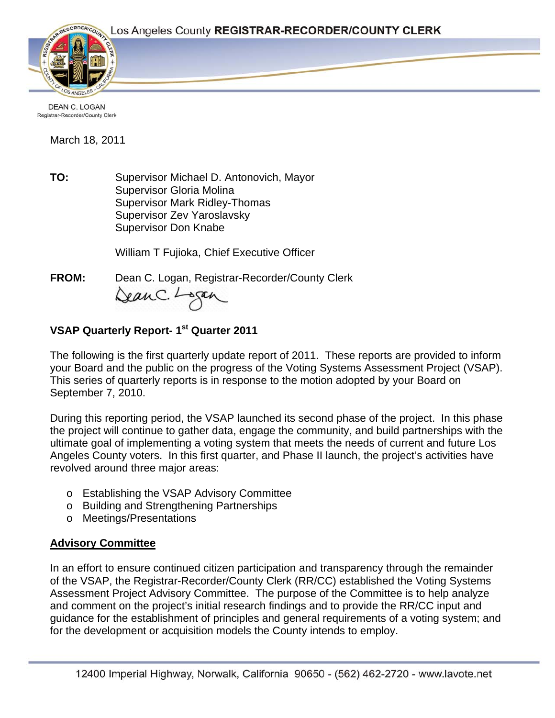

DEAN C. LOGAN Registrar-Recorder/County Clerk

March 18, 2011

**TO:** Supervisor Michael D. Antonovich, Mayor Supervisor Gloria Molina Supervisor Mark Ridley-Thomas Supervisor Zev Yaroslavsky Supervisor Don Knabe

William T Fujioka, Chief Executive Officer

**FROM:** Dean C. Logan, Registrar-Recorder/County Clerk Dean C. Logan

# **VSAP Quarterly Report- 1st Quarter 2011**

The following is the first quarterly update report of 2011. These reports are provided to inform your Board and the public on the progress of the Voting Systems Assessment Project (VSAP). This series of quarterly reports is in response to the motion adopted by your Board on September 7, 2010.

During this reporting period, the VSAP launched its second phase of the project. In this phase the project will continue to gather data, engage the community, and build partnerships with the ultimate goal of implementing a voting system that meets the needs of current and future Los Angeles County voters. In this first quarter, and Phase II launch, the project's activities have revolved around three major areas:

- o Establishing the VSAP Advisory Committee
- o Building and Strengthening Partnerships
- o Meetings/Presentations

## **Advisory Committee**

In an effort to ensure continued citizen participation and transparency through the remainder of the VSAP, the Registrar-Recorder/County Clerk (RR/CC) established the Voting Systems Assessment Project Advisory Committee. The purpose of the Committee is to help analyze and comment on the project's initial research findings and to provide the RR/CC input and guidance for the establishment of principles and general requirements of a voting system; and for the development or acquisition models the County intends to employ.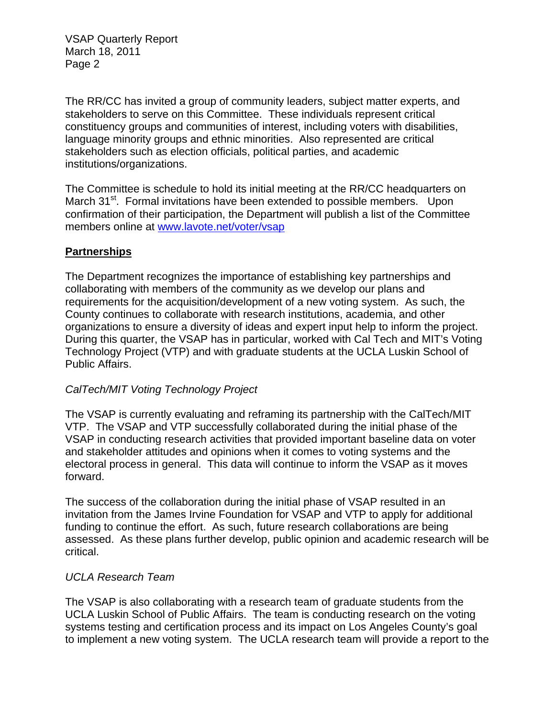VSAP Quarterly Report March 18, 2011 Page 2

The RR/CC has invited a group of community leaders, subject matter experts, and stakeholders to serve on this Committee. These individuals represent critical constituency groups and communities of interest, including voters with disabilities, language minority groups and ethnic minorities. Also represented are critical stakeholders such as election officials, political parties, and academic institutions/organizations.

The Committee is schedule to hold its initial meeting at the RR/CC headquarters on March 31<sup>st</sup>. Formal invitations have been extended to possible members. Upon confirmation of their participation, the Department will publish a list of the Committee members online at [www.lavote.net/voter/vsap](http://www.lavote.net/voter/vsap)

### **Partnerships**

The Department recognizes the importance of establishing key partnerships and collaborating with members of the community as we develop our plans and requirements for the acquisition/development of a new voting system. As such, the County continues to collaborate with research institutions, academia, and other organizations to ensure a diversity of ideas and expert input help to inform the project. During this quarter, the VSAP has in particular, worked with Cal Tech and MIT's Voting Technology Project (VTP) and with graduate students at the UCLA Luskin School of Public Affairs.

#### *CalTech/MIT Voting Technology Project*

The VSAP is currently evaluating and reframing its partnership with the CalTech/MIT VTP. The VSAP and VTP successfully collaborated during the initial phase of the VSAP in conducting research activities that provided important baseline data on voter and stakeholder attitudes and opinions when it comes to voting systems and the electoral process in general. This data will continue to inform the VSAP as it moves forward.

The success of the collaboration during the initial phase of VSAP resulted in an invitation from the James Irvine Foundation for VSAP and VTP to apply for additional funding to continue the effort. As such, future research collaborations are being assessed. As these plans further develop, public opinion and academic research will be critical.

#### *UCLA Research Team*

The VSAP is also collaborating with a research team of graduate students from the UCLA Luskin School of Public Affairs. The team is conducting research on the voting systems testing and certification process and its impact on Los Angeles County's goal to implement a new voting system. The UCLA research team will provide a report to the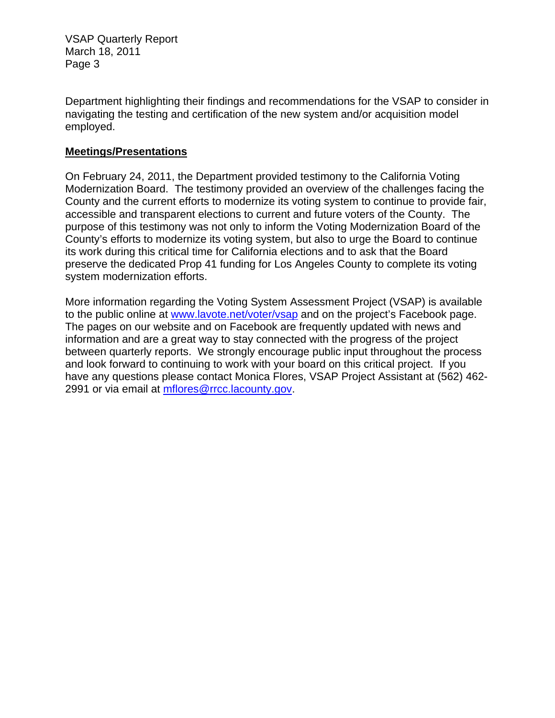VSAP Quarterly Report March 18, 2011 Page 3

Department highlighting their findings and recommendations for the VSAP to consider in navigating the testing and certification of the new system and/or acquisition model employed.

### **Meetings/Presentations**

On February 24, 2011, the Department provided testimony to the California Voting Modernization Board. The testimony provided an overview of the challenges facing the County and the current efforts to modernize its voting system to continue to provide fair, accessible and transparent elections to current and future voters of the County. The purpose of this testimony was not only to inform the Voting Modernization Board of the County's efforts to modernize its voting system, but also to urge the Board to continue its work during this critical time for California elections and to ask that the Board preserve the dedicated Prop 41 funding for Los Angeles County to complete its voting system modernization efforts.

More information regarding the Voting System Assessment Project (VSAP) is available to the public online at [www.lavote.net/voter/vsap](http://www.lavote.net/vsap) and on the project's Facebook page. The pages on our website and on Facebook are frequently updated with news and information and are a great way to stay connected with the progress of the project between quarterly reports. We strongly encourage public input throughout the process and look forward to continuing to work with your board on this critical project. If you have any questions please contact Monica Flores, VSAP Project Assistant at (562) 462- 2991 or via email at [mflores@rrcc.lacounty.gov](mailto:mflores@rrcc.lacounty.gov).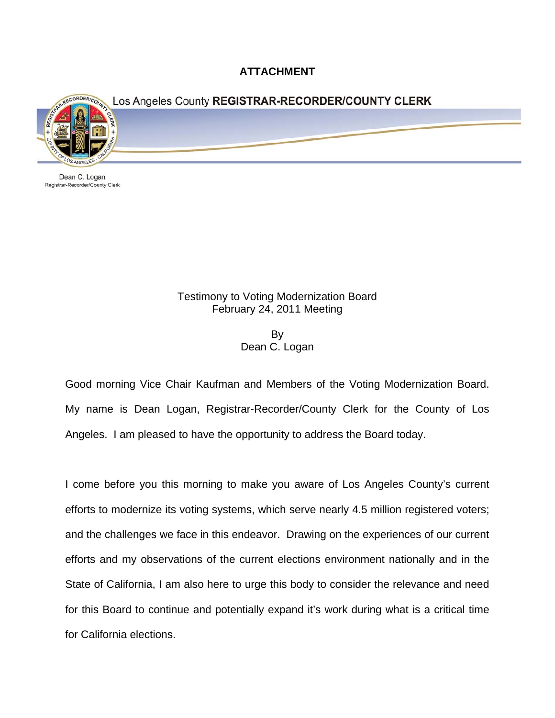**ATTACHMENT** 



Dean C. Logan Registrar-Recorder/County Clerk

## Testimony to Voting Modernization Board February 24, 2011 Meeting

By Dean C. Logan

Good morning Vice Chair Kaufman and Members of the Voting Modernization Board. My name is Dean Logan, Registrar-Recorder/County Clerk for the County of Los Angeles. I am pleased to have the opportunity to address the Board today.

I come before you this morning to make you aware of Los Angeles County's current efforts to modernize its voting systems, which serve nearly 4.5 million registered voters; and the challenges we face in this endeavor. Drawing on the experiences of our current efforts and my observations of the current elections environment nationally and in the State of California, I am also here to urge this body to consider the relevance and need for this Board to continue and potentially expand it's work during what is a critical time for California elections.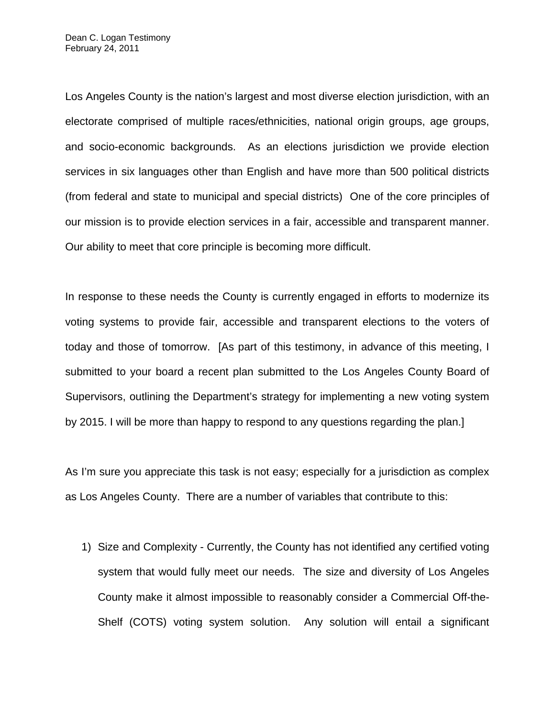Los Angeles County is the nation's largest and most diverse election jurisdiction, with an electorate comprised of multiple races/ethnicities, national origin groups, age groups, and socio-economic backgrounds. As an elections jurisdiction we provide election services in six languages other than English and have more than 500 political districts (from federal and state to municipal and special districts) One of the core principles of our mission is to provide election services in a fair, accessible and transparent manner. Our ability to meet that core principle is becoming more difficult.

In response to these needs the County is currently engaged in efforts to modernize its voting systems to provide fair, accessible and transparent elections to the voters of today and those of tomorrow. [As part of this testimony, in advance of this meeting, I submitted to your board a recent plan submitted to the Los Angeles County Board of Supervisors, outlining the Department's strategy for implementing a new voting system by 2015. I will be more than happy to respond to any questions regarding the plan.]

As I'm sure you appreciate this task is not easy; especially for a jurisdiction as complex as Los Angeles County. There are a number of variables that contribute to this:

1) Size and Complexity - Currently, the County has not identified any certified voting system that would fully meet our needs. The size and diversity of Los Angeles County make it almost impossible to reasonably consider a Commercial Off-the-Shelf (COTS) voting system solution. Any solution will entail a significant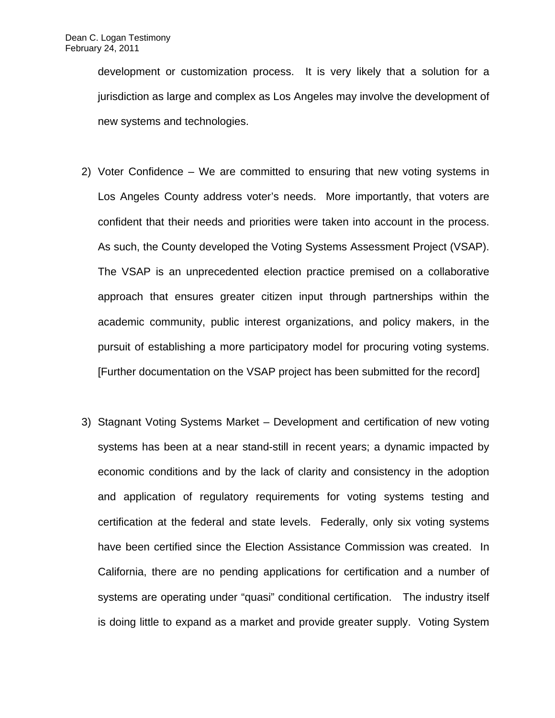development or customization process. It is very likely that a solution for a jurisdiction as large and complex as Los Angeles may involve the development of new systems and technologies.

- 2) Voter Confidence We are committed to ensuring that new voting systems in Los Angeles County address voter's needs. More importantly, that voters are confident that their needs and priorities were taken into account in the process. As such, the County developed the Voting Systems Assessment Project (VSAP). The VSAP is an unprecedented election practice premised on a collaborative approach that ensures greater citizen input through partnerships within the academic community, public interest organizations, and policy makers, in the pursuit of establishing a more participatory model for procuring voting systems. [Further documentation on the VSAP project has been submitted for the record]
- 3) Stagnant Voting Systems Market Development and certification of new voting systems has been at a near stand-still in recent years; a dynamic impacted by economic conditions and by the lack of clarity and consistency in the adoption and application of regulatory requirements for voting systems testing and certification at the federal and state levels. Federally, only six voting systems have been certified since the Election Assistance Commission was created. In California, there are no pending applications for certification and a number of systems are operating under "quasi" conditional certification. The industry itself is doing little to expand as a market and provide greater supply. Voting System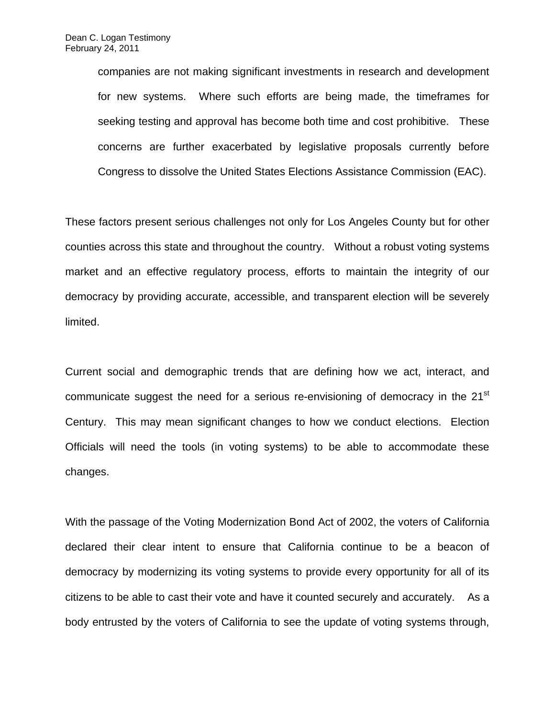companies are not making significant investments in research and development for new systems. Where such efforts are being made, the timeframes for seeking testing and approval has become both time and cost prohibitive. These concerns are further exacerbated by legislative proposals currently before Congress to dissolve the United States Elections Assistance Commission (EAC).

These factors present serious challenges not only for Los Angeles County but for other counties across this state and throughout the country. Without a robust voting systems market and an effective regulatory process, efforts to maintain the integrity of our democracy by providing accurate, accessible, and transparent election will be severely limited.

Current social and demographic trends that are defining how we act, interact, and communicate suggest the need for a serious re-envisioning of democracy in the 21<sup>st</sup> Century. This may mean significant changes to how we conduct elections. Election Officials will need the tools (in voting systems) to be able to accommodate these changes.

With the passage of the Voting Modernization Bond Act of 2002, the voters of California declared their clear intent to ensure that California continue to be a beacon of democracy by modernizing its voting systems to provide every opportunity for all of its citizens to be able to cast their vote and have it counted securely and accurately. As a body entrusted by the voters of California to see the update of voting systems through,